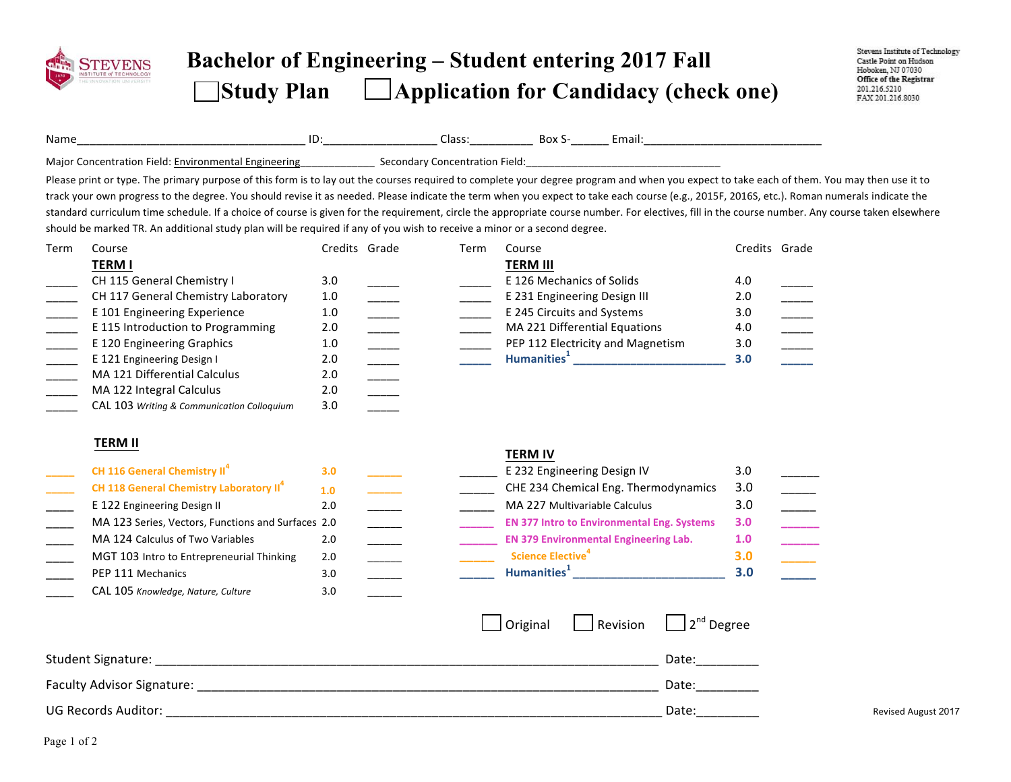

## **Bachelor of Engineering – Student entering 2017 Fall Study Plan Application for Candidacy (check one)**

| Name                                                                                     |                                                                                                                                                                                                                                                                                                                                                                                                                                                                                                                                                                                                                                                                                                                            |                                                                                                                              |      |                                                                                                                      |                                                                                                                                                                              |                                    |                                                                                                                                                                                                                                                                                                                                                                                                                                           |
|------------------------------------------------------------------------------------------|----------------------------------------------------------------------------------------------------------------------------------------------------------------------------------------------------------------------------------------------------------------------------------------------------------------------------------------------------------------------------------------------------------------------------------------------------------------------------------------------------------------------------------------------------------------------------------------------------------------------------------------------------------------------------------------------------------------------------|------------------------------------------------------------------------------------------------------------------------------|------|----------------------------------------------------------------------------------------------------------------------|------------------------------------------------------------------------------------------------------------------------------------------------------------------------------|------------------------------------|-------------------------------------------------------------------------------------------------------------------------------------------------------------------------------------------------------------------------------------------------------------------------------------------------------------------------------------------------------------------------------------------------------------------------------------------|
|                                                                                          | Major Concentration Field: Environmental Engineering entity of Secondary Concentration Field: encouragement and the Major Concentration Field:                                                                                                                                                                                                                                                                                                                                                                                                                                                                                                                                                                             |                                                                                                                              |      |                                                                                                                      |                                                                                                                                                                              |                                    |                                                                                                                                                                                                                                                                                                                                                                                                                                           |
|                                                                                          | Please print or type. The primary purpose of this form is to lay out the courses required to complete your degree program and when you expect to take each of them. You may then use it to<br>track your own progress to the degree. You should revise it as needed. Please indicate the term when you expect to take each course (e.g., 2015F, 2016S, etc.). Roman numerals indicate the<br>standard curriculum time schedule. If a choice of course is given for the requirement, circle the appropriate course number. For electives, fill in the course number. Any course taken elsewhere<br>should be marked TR. An additional study plan will be required if any of you wish to receive a minor or a second degree. |                                                                                                                              |      |                                                                                                                      |                                                                                                                                                                              |                                    |                                                                                                                                                                                                                                                                                                                                                                                                                                           |
| Term                                                                                     | Course<br><b>TERM I</b><br>CH 115 General Chemistry I<br>CH 117 General Chemistry Laboratory<br>E 101 Engineering Experience                                                                                                                                                                                                                                                                                                                                                                                                                                                                                                                                                                                               | Credits Grade<br>3.0<br>1.0<br>1.0                                                                                           | Term | Course<br><b>TERM III</b><br>E 126 Mechanics of Solids<br>E 231 Engineering Design III<br>E 245 Circuits and Systems |                                                                                                                                                                              | Credits Grade<br>4.0<br>2.0<br>3.0 | $\overline{\phantom{a}}$<br>$\frac{1}{1}$                                                                                                                                                                                                                                                                                                                                                                                                 |
| $\overline{a}$<br>$\overline{\phantom{a}}$<br>$\overline{a}$<br>$\overline{\phantom{a}}$ | E 115 Introduction to Programming<br>E 120 Engineering Graphics<br>E 121 Engineering Design I<br>MA 121 Differential Calculus<br>MA 122 Integral Calculus<br>CAL 103 Writing & Communication Colloquium                                                                                                                                                                                                                                                                                                                                                                                                                                                                                                                    | 2.0<br>$1.0$<br>$\overline{\phantom{a}}$<br>2.0<br>$\overline{\phantom{a}}$<br>2.0<br>$\overline{\phantom{a}}$<br>2.0<br>3.0 |      | MA 221 Differential Equations                                                                                        | PEP 112 Electricity and Magnetism                                                                                                                                            | 4.0<br>3.0<br>3.0                  | $\frac{1}{1}$<br>$\overline{\phantom{a}}$<br>$\mathcal{L}$                                                                                                                                                                                                                                                                                                                                                                                |
|                                                                                          | <b>TERM II</b><br>CH 116 General Chemistry II <sup>4</sup><br>CH 118 General Chemistry Laboratory II <sup>4</sup><br>E 122 Engineering Design II<br>MA 123 Series, Vectors, Functions and Surfaces 2.0                                                                                                                                                                                                                                                                                                                                                                                                                                                                                                                     | 3.0<br>1.0<br>2.0                                                                                                            |      | <b>TERM IV</b><br>E 232 Engineering Design IV<br>MA 227 Multivariable Calculus                                       | CHE 234 Chemical Eng. Thermodynamics<br><b>EN 377 Intro to Environmental Eng. Systems</b>                                                                                    | 3.0<br>3.0<br>3.0<br>3.0           | $\overline{\phantom{a}}$<br>$\begin{tabular}{ c c c } \hline \quad \quad & \quad \quad & \quad \quad \\ \hline \quad \quad & \quad \quad & \quad \quad \\ \hline \quad \quad & \quad \quad & \quad \quad \\ \hline \quad \quad & \quad \quad & \quad \quad \\ \hline \quad \quad & \quad \quad & \quad \quad \\ \hline \quad \quad & \quad \quad & \quad \quad \\ \hline \quad \quad & \quad \quad & \quad \quad \\ \hline \end{tabular}$ |
|                                                                                          | MA 124 Calculus of Two Variables<br>MGT 103 Intro to Entrepreneurial Thinking<br>PEP 111 Mechanics<br>CAL 105 Knowledge, Nature, Culture                                                                                                                                                                                                                                                                                                                                                                                                                                                                                                                                                                                   | 2.0<br>2.0<br>$\overline{\phantom{a}}$<br>3.0<br>3.0                                                                         |      | <b>Science Elective<sup>4</sup></b>                                                                                  | <b>EN 379 Environmental Engineering Lab.</b><br>Humanities <sup>1</sup> Manual Manual Manual Manual Manual Manual Manual Manual Manual Manual Manual Manual Manual Manual Ma | 1.0<br>3.0<br>3.0                  |                                                                                                                                                                                                                                                                                                                                                                                                                                           |
|                                                                                          |                                                                                                                                                                                                                                                                                                                                                                                                                                                                                                                                                                                                                                                                                                                            |                                                                                                                              |      | Original                                                                                                             | 2 <sup>nd</sup> Degree<br>Revision<br>Date:<br>Date:                                                                                                                         |                                    |                                                                                                                                                                                                                                                                                                                                                                                                                                           |
|                                                                                          | <b>UG Records Auditor:</b>                                                                                                                                                                                                                                                                                                                                                                                                                                                                                                                                                                                                                                                                                                 |                                                                                                                              |      |                                                                                                                      | Date:                                                                                                                                                                        |                                    | <b>Revised August 2017</b>                                                                                                                                                                                                                                                                                                                                                                                                                |